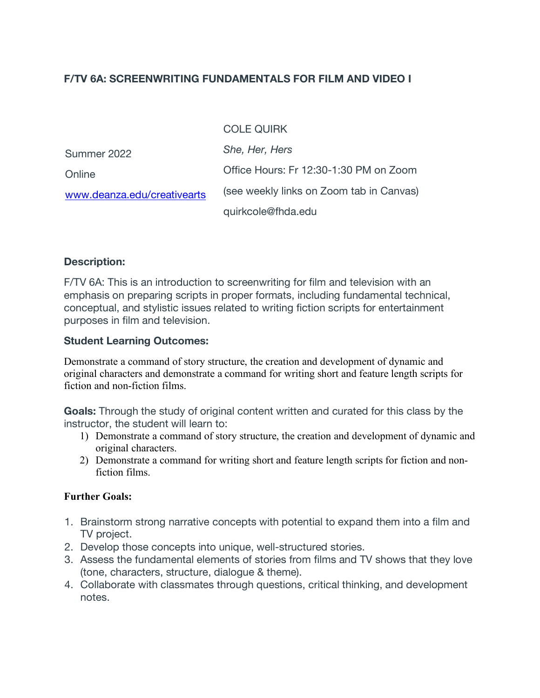# **F/TV 6A: SCREENWRITING FUNDAMENTALS FOR FILM AND VIDEO I**

#### COLE QUIRK

| Summer 2022                 | She, Her, Hers                           |
|-----------------------------|------------------------------------------|
| Online                      | Office Hours: Fr 12:30-1:30 PM on Zoom   |
| www.deanza.edu/creativearts | (see weekly links on Zoom tab in Canvas) |
|                             | quirkcole@fhda.edu                       |

#### **Description:**

F/TV 6A: This is an introduction to screenwriting for film and television with an emphasis on preparing scripts in proper formats, including fundamental technical, conceptual, and stylistic issues related to writing fiction scripts for entertainment purposes in film and television.

#### **Student Learning Outcomes:**

Demonstrate a command of story structure, the creation and development of dynamic and original characters and demonstrate a command for writing short and feature length scripts for fiction and non-fiction films.

**Goals:** Through the study of original content written and curated for this class by the instructor, the student will learn to:

- 1) Demonstrate a command of story structure, the creation and development of dynamic and original characters.
- 2) Demonstrate a command for writing short and feature length scripts for fiction and nonfiction films.

#### **Further Goals:**

- 1. Brainstorm strong narrative concepts with potential to expand them into a film and TV project.
- 2. Develop those concepts into unique, well-structured stories.
- 3. Assess the fundamental elements of stories from films and TV shows that they love (tone, characters, structure, dialogue & theme).
- 4. Collaborate with classmates through questions, critical thinking, and development notes.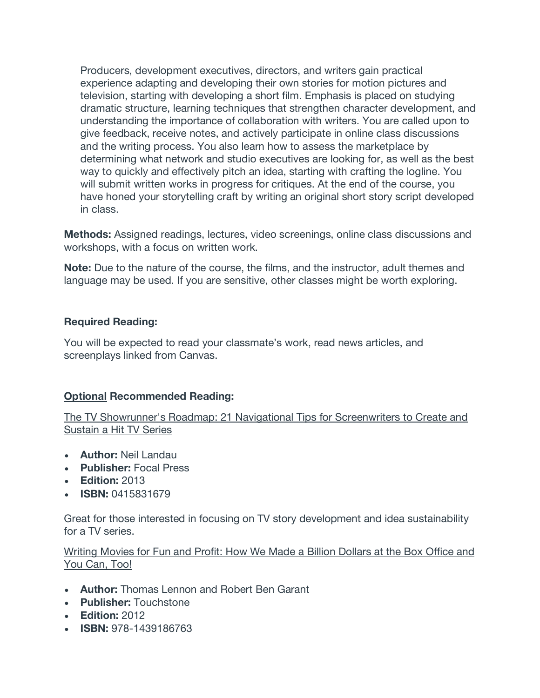Producers, development executives, directors, and writers gain practical experience adapting and developing their own stories for motion pictures and television, starting with developing a short film. Emphasis is placed on studying dramatic structure, learning techniques that strengthen character development, and understanding the importance of collaboration with writers. You are called upon to give feedback, receive notes, and actively participate in online class discussions and the writing process. You also learn how to assess the marketplace by determining what network and studio executives are looking for, as well as the best way to quickly and effectively pitch an idea, starting with crafting the logline. You will submit written works in progress for critiques. At the end of the course, you have honed your storytelling craft by writing an original short story script developed in class.

**Methods:** Assigned readings, lectures, video screenings, online class discussions and workshops, with a focus on written work.

**Note:** Due to the nature of the course, the films, and the instructor, adult themes and language may be used. If you are sensitive, other classes might be worth exploring.

#### **Required Reading:**

You will be expected to read your classmate's work, read news articles, and screenplays linked from Canvas.

# **Optional Recommended Reading:**

The TV Showrunner's Roadmap: 21 Navigational Tips for Screenwriters to Create and Sustain a Hit TV Series

- **Author:** Neil Landau
- **Publisher:** Focal Press
- **Edition:** 2013
- **ISBN:** 0415831679

Great for those interested in focusing on TV story development and idea sustainability for a TV series.

Writing Movies for Fun and Profit: How We Made a Billion Dollars at the Box Office and You Can, Too!

- **Author:** Thomas Lennon and Robert Ben Garant
- **Publisher:** Touchstone
- **Edition:** 2012
- **ISBN:** 978-1439186763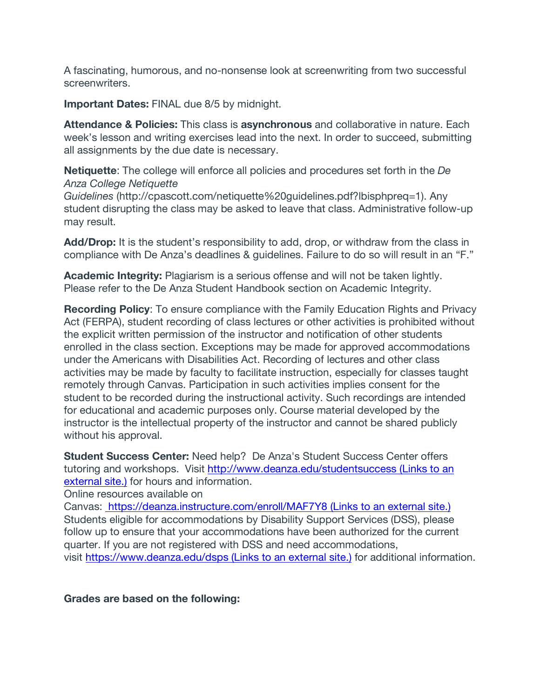A fascinating, humorous, and no-nonsense look at screenwriting from two successful screenwriters.

**Important Dates:** FINAL due 8/5 by midnight.

**Attendance & Policies:** This class is **asynchronous** and collaborative in nature. Each week's lesson and writing exercises lead into the next. In order to succeed, submitting all assignments by the due date is necessary.

**Netiquette**: The college will enforce all policies and procedures set forth in the *De Anza College Netiquette*

*Guidelines* (http://cpascott.com/netiquette%20guidelines.pdf?lbisphpreq=1). Any student disrupting the class may be asked to leave that class. Administrative follow-up may result.

**Add/Drop:** It is the student's responsibility to add, drop, or withdraw from the class in compliance with De Anza's deadlines & guidelines. Failure to do so will result in an "F."

**Academic Integrity:** Plagiarism is a serious offense and will not be taken lightly. Please refer to the De Anza Student Handbook section on Academic Integrity.

**Recording Policy**: To ensure compliance with the Family Education Rights and Privacy Act (FERPA), student recording of class lectures or other activities is prohibited without the explicit written permission of the instructor and notification of other students enrolled in the class section. Exceptions may be made for approved accommodations under the Americans with Disabilities Act. Recording of lectures and other class activities may be made by faculty to facilitate instruction, especially for classes taught remotely through Canvas. Participation in such activities implies consent for the student to be recorded during the instructional activity. Such recordings are intended for educational and academic purposes only. Course material developed by the instructor is the intellectual property of the instructor and cannot be shared publicly without his approval.

**Student Success Center:** Need help? De Anza's Student Success Center offers tutoring and workshops. Visit http://www.deanza.edu/studentsuccess (Links to an external site.) for hours and information.

Online resources available on

Canvas: https://deanza.instructure.com/enroll/MAF7Y8 (Links to an external site.) Students eligible for accommodations by Disability Support Services (DSS), please follow up to ensure that your accommodations have been authorized for the current quarter. If you are not registered with DSS and need accommodations, visit https://www.deanza.edu/dsps (Links to an external site.) for additional information.

**Grades are based on the following:**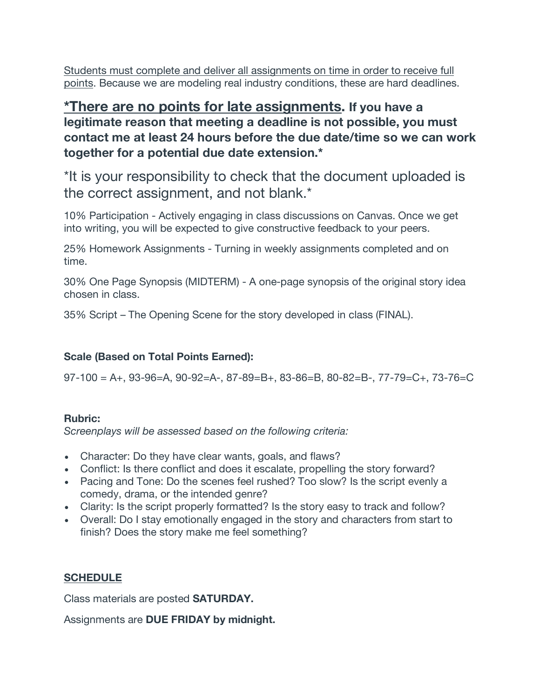Students must complete and deliver all assignments on time in order to receive full points. Because we are modeling real industry conditions, these are hard deadlines.

**\*There are no points for late assignments. If you have a legitimate reason that meeting a deadline is not possible, you must contact me at least 24 hours before the due date/time so we can work together for a potential due date extension.\***

\*It is your responsibility to check that the document uploaded is the correct assignment, and not blank.\*

10% Participation - Actively engaging in class discussions on Canvas. Once we get into writing, you will be expected to give constructive feedback to your peers.

25% Homework Assignments - Turning in weekly assignments completed and on time.

30% One Page Synopsis (MIDTERM) - A one-page synopsis of the original story idea chosen in class.

35% Script – The Opening Scene for the story developed in class (FINAL).

# **Scale (Based on Total Points Earned):**

97-100 = A+, 93-96=A, 90-92=A-, 87-89=B+, 83-86=B, 80-82=B-, 77-79=C+, 73-76=C

# **Rubric:**

*Screenplays will be assessed based on the following criteria:*

- Character: Do they have clear wants, goals, and flaws?
- Conflict: Is there conflict and does it escalate, propelling the story forward?
- Pacing and Tone: Do the scenes feel rushed? Too slow? Is the script evenly a comedy, drama, or the intended genre?
- Clarity: Is the script properly formatted? Is the story easy to track and follow?
- Overall: Do I stay emotionally engaged in the story and characters from start to finish? Does the story make me feel something?

# **SCHEDULE**

Class materials are posted **SATURDAY.**

Assignments are **DUE FRIDAY by midnight.**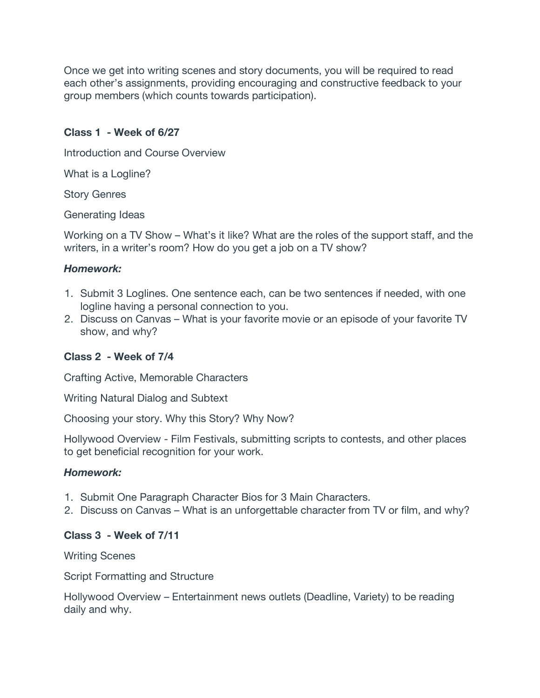Once we get into writing scenes and story documents, you will be required to read each other's assignments, providing encouraging and constructive feedback to your group members (which counts towards participation).

### **Class 1 - Week of 6/27**

Introduction and Course Overview

What is a Logline?

Story Genres

Generating Ideas

Working on a TV Show – What's it like? What are the roles of the support staff, and the writers, in a writer's room? How do you get a job on a TV show?

# *Homework:*

- 1. Submit 3 Loglines. One sentence each, can be two sentences if needed, with one logline having a personal connection to you.
- 2. Discuss on Canvas What is your favorite movie or an episode of your favorite TV show, and why?

# **Class 2 - Week of 7/4**

Crafting Active, Memorable Characters

Writing Natural Dialog and Subtext

Choosing your story. Why this Story? Why Now?

Hollywood Overview - Film Festivals, submitting scripts to contests, and other places to get beneficial recognition for your work.

# *Homework:*

- 1. Submit One Paragraph Character Bios for 3 Main Characters.
- 2. Discuss on Canvas What is an unforgettable character from TV or film, and why?

# **Class 3 - Week of 7/11**

Writing Scenes

Script Formatting and Structure

Hollywood Overview – Entertainment news outlets (Deadline, Variety) to be reading daily and why.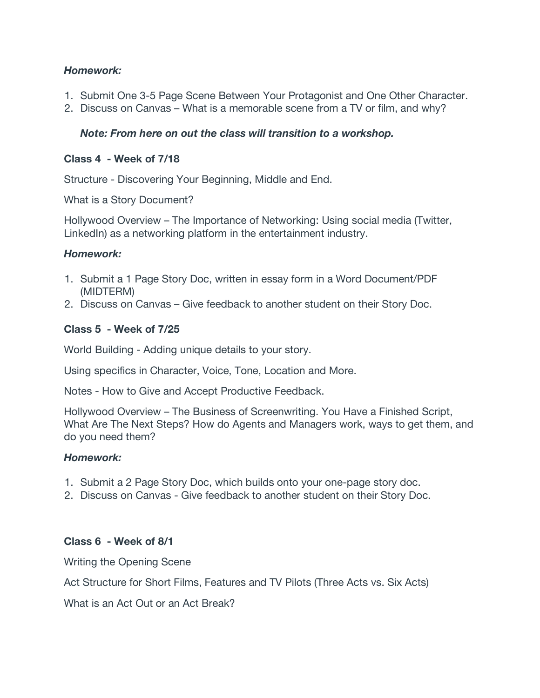# *Homework:*

- 1. Submit One 3-5 Page Scene Between Your Protagonist and One Other Character.
- 2. Discuss on Canvas What is a memorable scene from a TV or film, and why?

#### *Note: From here on out the class will transition to a workshop.*

#### **Class 4 - Week of 7/18**

Structure - Discovering Your Beginning, Middle and End.

What is a Story Document?

Hollywood Overview – The Importance of Networking: Using social media (Twitter, LinkedIn) as a networking platform in the entertainment industry.

#### *Homework:*

- 1. Submit a 1 Page Story Doc, written in essay form in a Word Document/PDF (MIDTERM)
- 2. Discuss on Canvas Give feedback to another student on their Story Doc.

#### **Class 5 - Week of 7/25**

World Building - Adding unique details to your story.

Using specifics in Character, Voice, Tone, Location and More.

Notes - How to Give and Accept Productive Feedback.

Hollywood Overview – The Business of Screenwriting. You Have a Finished Script, What Are The Next Steps? How do Agents and Managers work, ways to get them, and do you need them?

# *Homework:*

- 1. Submit a 2 Page Story Doc, which builds onto your one-page story doc.
- 2. Discuss on Canvas Give feedback to another student on their Story Doc.

#### **Class 6 - Week of 8/1**

Writing the Opening Scene

Act Structure for Short Films, Features and TV Pilots (Three Acts vs. Six Acts)

What is an Act Out or an Act Break?